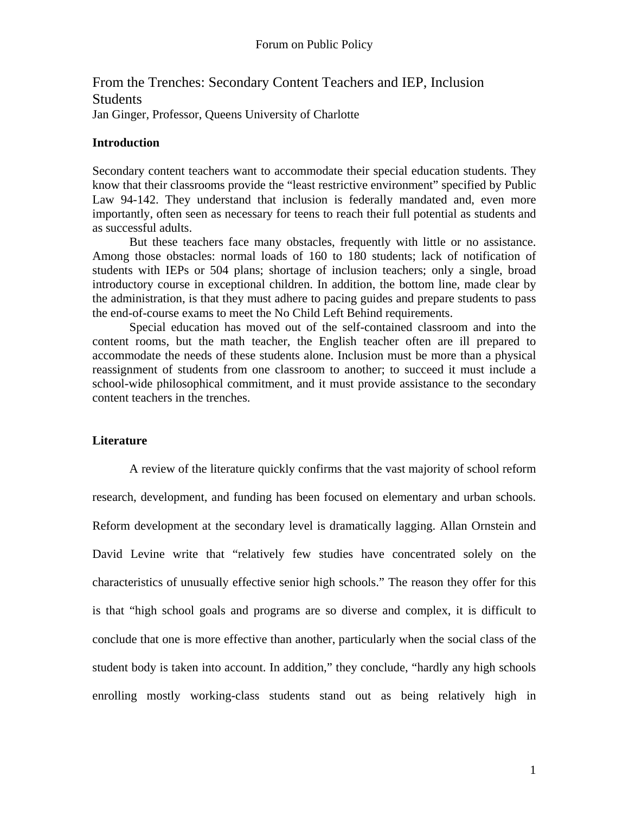From the Trenches: Secondary Content Teachers and IEP, Inclusion Students Jan Ginger, Professor, Queens University of Charlotte

## **Introduction**

Secondary content teachers want to accommodate their special education students. They know that their classrooms provide the "least restrictive environment" specified by Public Law 94-142. They understand that inclusion is federally mandated and, even more importantly, often seen as necessary for teens to reach their full potential as students and as successful adults.

 But these teachers face many obstacles, frequently with little or no assistance. Among those obstacles: normal loads of 160 to 180 students; lack of notification of students with IEPs or 504 plans; shortage of inclusion teachers; only a single, broad introductory course in exceptional children. In addition, the bottom line, made clear by the administration, is that they must adhere to pacing guides and prepare students to pass the end-of-course exams to meet the No Child Left Behind requirements.

 Special education has moved out of the self-contained classroom and into the content rooms, but the math teacher, the English teacher often are ill prepared to accommodate the needs of these students alone. Inclusion must be more than a physical reassignment of students from one classroom to another; to succeed it must include a school-wide philosophical commitment, and it must provide assistance to the secondary content teachers in the trenches.

## **Literature**

 A review of the literature quickly confirms that the vast majority of school reform research, development, and funding has been focused on elementary and urban schools. Reform development at the secondary level is dramatically lagging. Allan Ornstein and David Levine write that "relatively few studies have concentrated solely on the characteristics of unusually effective senior high schools." The reason they offer for this is that "high school goals and programs are so diverse and complex, it is difficult to conclude that one is more effective than another, particularly when the social class of the student body is taken into account. In addition," they conclude, "hardly any high schools enrolling mostly working-class students stand out as being relatively high in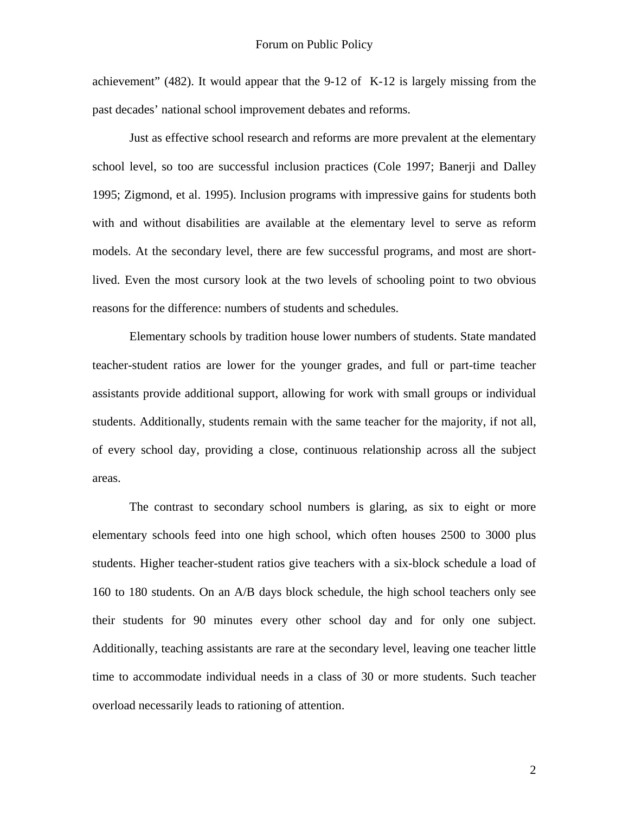achievement" (482). It would appear that the 9-12 of K-12 is largely missing from the past decades' national school improvement debates and reforms.

 Just as effective school research and reforms are more prevalent at the elementary school level, so too are successful inclusion practices (Cole 1997; Banerji and Dalley 1995; Zigmond, et al. 1995). Inclusion programs with impressive gains for students both with and without disabilities are available at the elementary level to serve as reform models. At the secondary level, there are few successful programs, and most are shortlived. Even the most cursory look at the two levels of schooling point to two obvious reasons for the difference: numbers of students and schedules.

 Elementary schools by tradition house lower numbers of students. State mandated teacher-student ratios are lower for the younger grades, and full or part-time teacher assistants provide additional support, allowing for work with small groups or individual students. Additionally, students remain with the same teacher for the majority, if not all, of every school day, providing a close, continuous relationship across all the subject areas.

 The contrast to secondary school numbers is glaring, as six to eight or more elementary schools feed into one high school, which often houses 2500 to 3000 plus students. Higher teacher-student ratios give teachers with a six-block schedule a load of 160 to 180 students. On an A/B days block schedule, the high school teachers only see their students for 90 minutes every other school day and for only one subject. Additionally, teaching assistants are rare at the secondary level, leaving one teacher little time to accommodate individual needs in a class of 30 or more students. Such teacher overload necessarily leads to rationing of attention.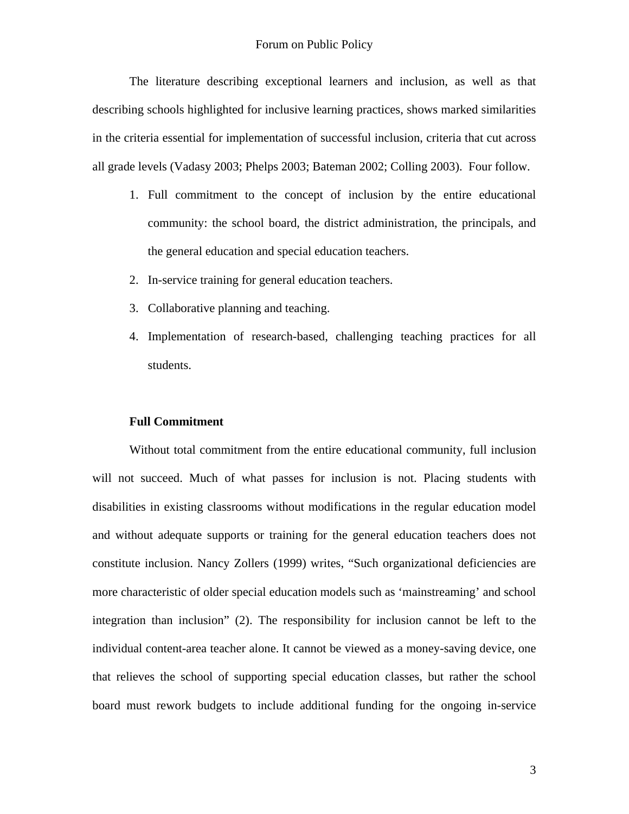The literature describing exceptional learners and inclusion, as well as that describing schools highlighted for inclusive learning practices, shows marked similarities in the criteria essential for implementation of successful inclusion, criteria that cut across all grade levels (Vadasy 2003; Phelps 2003; Bateman 2002; Colling 2003). Four follow.

- 1. Full commitment to the concept of inclusion by the entire educational community: the school board, the district administration, the principals, and the general education and special education teachers.
- 2. In-service training for general education teachers.
- 3. Collaborative planning and teaching.
- 4. Implementation of research-based, challenging teaching practices for all students.

#### **Full Commitment**

 Without total commitment from the entire educational community, full inclusion will not succeed. Much of what passes for inclusion is not. Placing students with disabilities in existing classrooms without modifications in the regular education model and without adequate supports or training for the general education teachers does not constitute inclusion. Nancy Zollers (1999) writes, "Such organizational deficiencies are more characteristic of older special education models such as 'mainstreaming' and school integration than inclusion" (2). The responsibility for inclusion cannot be left to the individual content-area teacher alone. It cannot be viewed as a money-saving device, one that relieves the school of supporting special education classes, but rather the school board must rework budgets to include additional funding for the ongoing in-service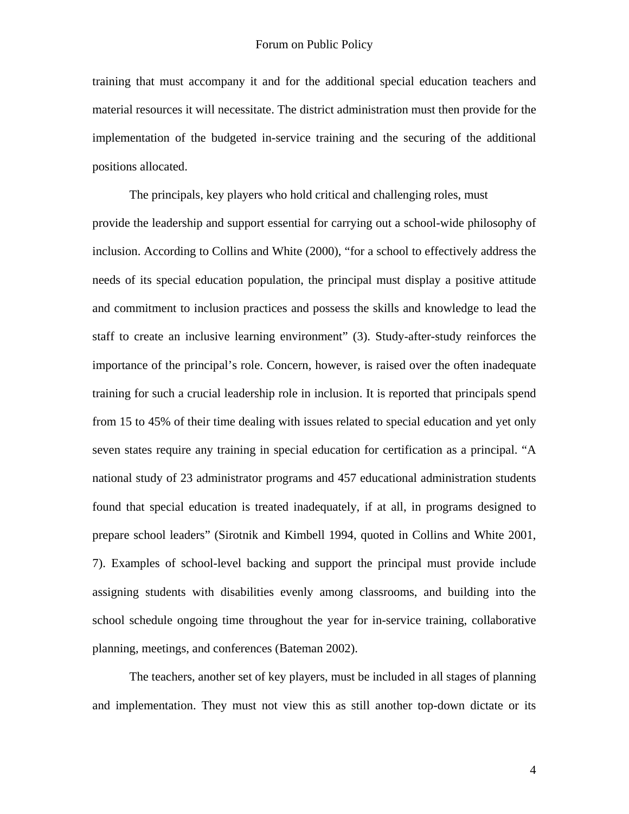training that must accompany it and for the additional special education teachers and material resources it will necessitate. The district administration must then provide for the implementation of the budgeted in-service training and the securing of the additional positions allocated.

The principals, key players who hold critical and challenging roles, must provide the leadership and support essential for carrying out a school-wide philosophy of inclusion. According to Collins and White (2000), "for a school to effectively address the needs of its special education population, the principal must display a positive attitude and commitment to inclusion practices and possess the skills and knowledge to lead the staff to create an inclusive learning environment" (3). Study-after-study reinforces the importance of the principal's role. Concern, however, is raised over the often inadequate training for such a crucial leadership role in inclusion. It is reported that principals spend from 15 to 45% of their time dealing with issues related to special education and yet only seven states require any training in special education for certification as a principal. "A national study of 23 administrator programs and 457 educational administration students found that special education is treated inadequately, if at all, in programs designed to prepare school leaders" (Sirotnik and Kimbell 1994, quoted in Collins and White 2001, 7). Examples of school-level backing and support the principal must provide include assigning students with disabilities evenly among classrooms, and building into the school schedule ongoing time throughout the year for in-service training, collaborative planning, meetings, and conferences (Bateman 2002).

 The teachers, another set of key players, must be included in all stages of planning and implementation. They must not view this as still another top-down dictate or its

4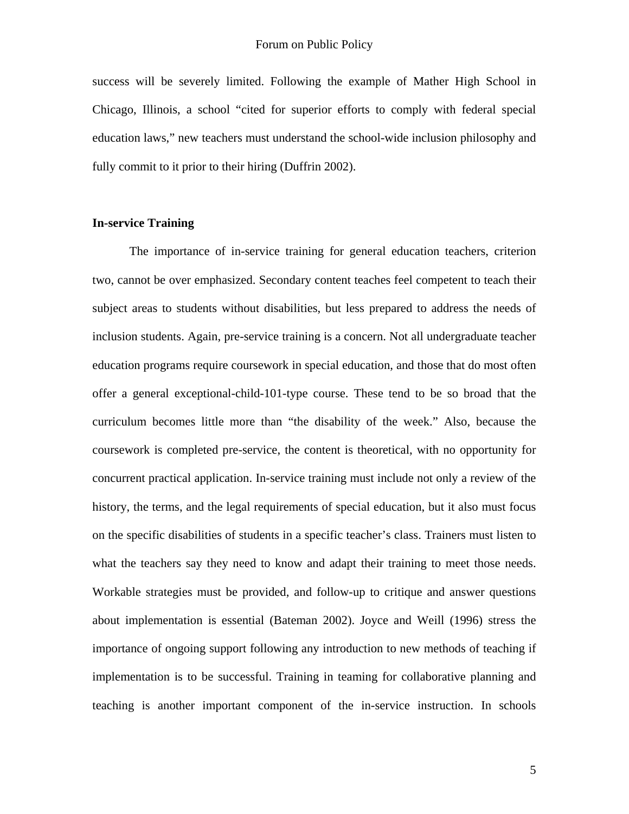success will be severely limited. Following the example of Mather High School in Chicago, Illinois, a school "cited for superior efforts to comply with federal special education laws," new teachers must understand the school-wide inclusion philosophy and fully commit to it prior to their hiring (Duffrin 2002).

## **In-service Training**

 The importance of in-service training for general education teachers, criterion two, cannot be over emphasized. Secondary content teaches feel competent to teach their subject areas to students without disabilities, but less prepared to address the needs of inclusion students. Again, pre-service training is a concern. Not all undergraduate teacher education programs require coursework in special education, and those that do most often offer a general exceptional-child-101-type course. These tend to be so broad that the curriculum becomes little more than "the disability of the week." Also, because the coursework is completed pre-service, the content is theoretical, with no opportunity for concurrent practical application. In-service training must include not only a review of the history, the terms, and the legal requirements of special education, but it also must focus on the specific disabilities of students in a specific teacher's class. Trainers must listen to what the teachers say they need to know and adapt their training to meet those needs. Workable strategies must be provided, and follow-up to critique and answer questions about implementation is essential (Bateman 2002). Joyce and Weill (1996) stress the importance of ongoing support following any introduction to new methods of teaching if implementation is to be successful. Training in teaming for collaborative planning and teaching is another important component of the in-service instruction. In schools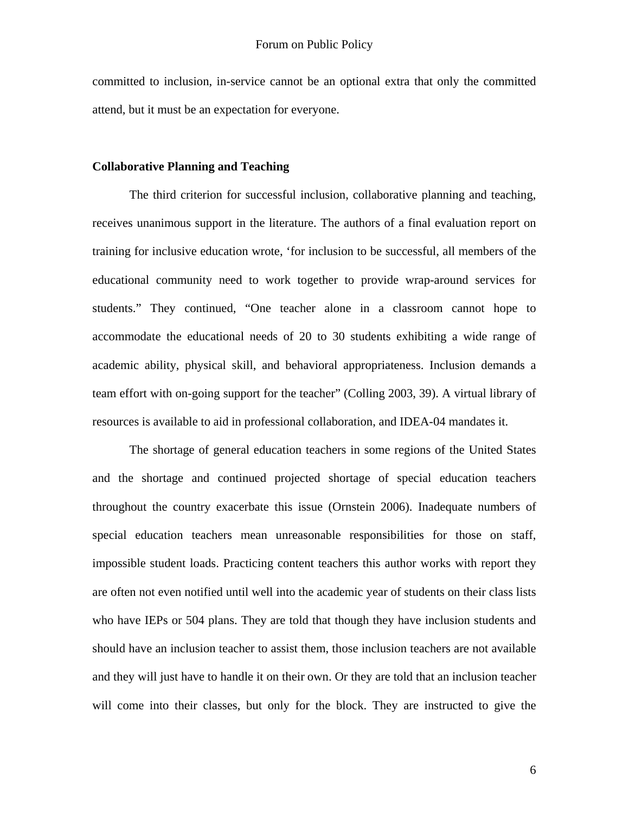committed to inclusion, in-service cannot be an optional extra that only the committed attend, but it must be an expectation for everyone.

#### **Collaborative Planning and Teaching**

 The third criterion for successful inclusion, collaborative planning and teaching, receives unanimous support in the literature. The authors of a final evaluation report on training for inclusive education wrote, 'for inclusion to be successful, all members of the educational community need to work together to provide wrap-around services for students." They continued, "One teacher alone in a classroom cannot hope to accommodate the educational needs of 20 to 30 students exhibiting a wide range of academic ability, physical skill, and behavioral appropriateness. Inclusion demands a team effort with on-going support for the teacher" (Colling 2003, 39). A virtual library of resources is available to aid in professional collaboration, and IDEA-04 mandates it.

 The shortage of general education teachers in some regions of the United States and the shortage and continued projected shortage of special education teachers throughout the country exacerbate this issue (Ornstein 2006). Inadequate numbers of special education teachers mean unreasonable responsibilities for those on staff, impossible student loads. Practicing content teachers this author works with report they are often not even notified until well into the academic year of students on their class lists who have IEPs or 504 plans. They are told that though they have inclusion students and should have an inclusion teacher to assist them, those inclusion teachers are not available and they will just have to handle it on their own. Or they are told that an inclusion teacher will come into their classes, but only for the block. They are instructed to give the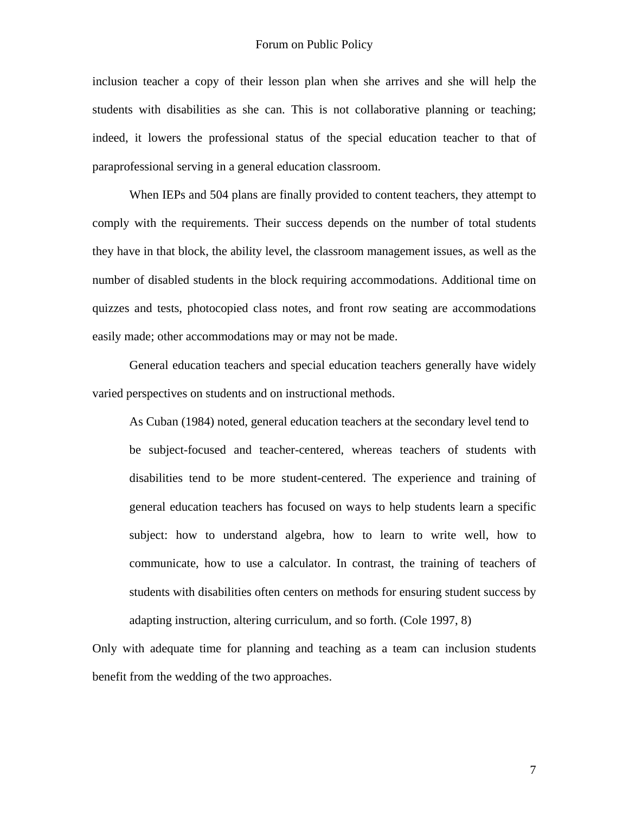inclusion teacher a copy of their lesson plan when she arrives and she will help the students with disabilities as she can. This is not collaborative planning or teaching; indeed, it lowers the professional status of the special education teacher to that of paraprofessional serving in a general education classroom.

 When IEPs and 504 plans are finally provided to content teachers, they attempt to comply with the requirements. Their success depends on the number of total students they have in that block, the ability level, the classroom management issues, as well as the number of disabled students in the block requiring accommodations. Additional time on quizzes and tests, photocopied class notes, and front row seating are accommodations easily made; other accommodations may or may not be made.

 General education teachers and special education teachers generally have widely varied perspectives on students and on instructional methods.

 As Cuban (1984) noted, general education teachers at the secondary level tend to be subject-focused and teacher-centered, whereas teachers of students with disabilities tend to be more student-centered. The experience and training of general education teachers has focused on ways to help students learn a specific subject: how to understand algebra, how to learn to write well, how to communicate, how to use a calculator. In contrast, the training of teachers of students with disabilities often centers on methods for ensuring student success by adapting instruction, altering curriculum, and so forth. (Cole 1997, 8)

Only with adequate time for planning and teaching as a team can inclusion students benefit from the wedding of the two approaches.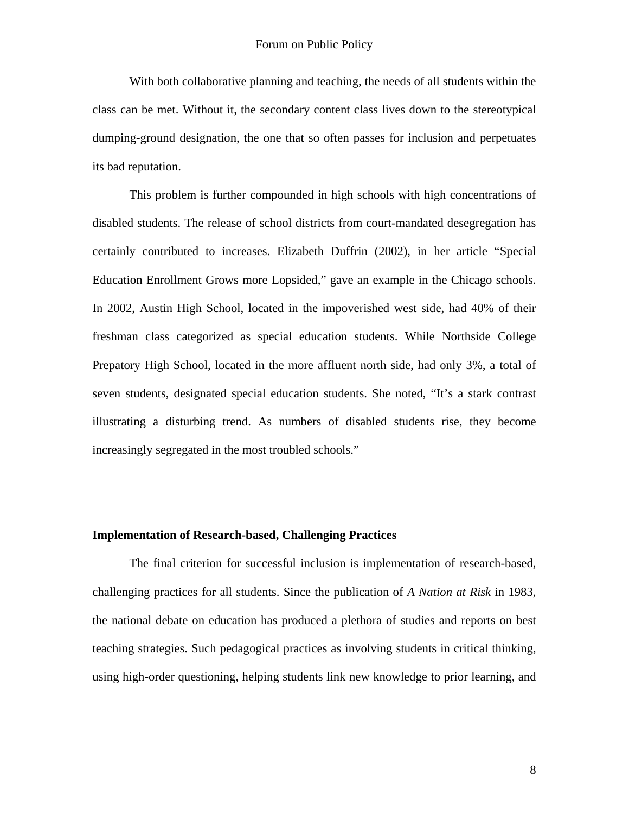With both collaborative planning and teaching, the needs of all students within the class can be met. Without it, the secondary content class lives down to the stereotypical dumping-ground designation, the one that so often passes for inclusion and perpetuates its bad reputation.

 This problem is further compounded in high schools with high concentrations of disabled students. The release of school districts from court-mandated desegregation has certainly contributed to increases. Elizabeth Duffrin (2002), in her article "Special Education Enrollment Grows more Lopsided," gave an example in the Chicago schools. In 2002, Austin High School, located in the impoverished west side, had 40% of their freshman class categorized as special education students. While Northside College Prepatory High School, located in the more affluent north side, had only 3%, a total of seven students, designated special education students. She noted, "It's a stark contrast illustrating a disturbing trend. As numbers of disabled students rise, they become increasingly segregated in the most troubled schools."

## **Implementation of Research-based, Challenging Practices**

 The final criterion for successful inclusion is implementation of research-based, challenging practices for all students. Since the publication of *A Nation at Risk* in 1983, the national debate on education has produced a plethora of studies and reports on best teaching strategies. Such pedagogical practices as involving students in critical thinking, using high-order questioning, helping students link new knowledge to prior learning, and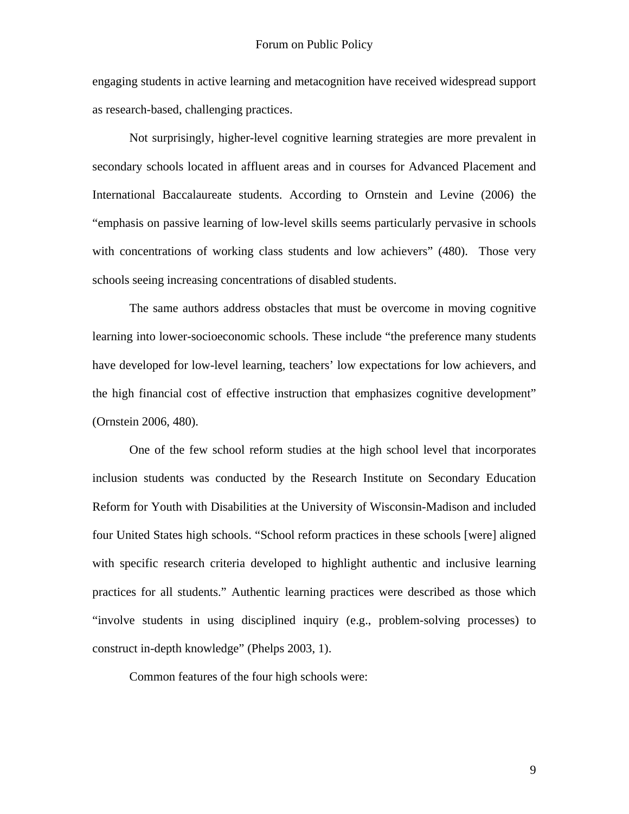engaging students in active learning and metacognition have received widespread support as research-based, challenging practices.

 Not surprisingly, higher-level cognitive learning strategies are more prevalent in secondary schools located in affluent areas and in courses for Advanced Placement and International Baccalaureate students. According to Ornstein and Levine (2006) the "emphasis on passive learning of low-level skills seems particularly pervasive in schools with concentrations of working class students and low achievers" (480). Those very schools seeing increasing concentrations of disabled students.

 The same authors address obstacles that must be overcome in moving cognitive learning into lower-socioeconomic schools. These include "the preference many students have developed for low-level learning, teachers' low expectations for low achievers, and the high financial cost of effective instruction that emphasizes cognitive development" (Ornstein 2006, 480).

 One of the few school reform studies at the high school level that incorporates inclusion students was conducted by the Research Institute on Secondary Education Reform for Youth with Disabilities at the University of Wisconsin-Madison and included four United States high schools. "School reform practices in these schools [were] aligned with specific research criteria developed to highlight authentic and inclusive learning practices for all students." Authentic learning practices were described as those which "involve students in using disciplined inquiry (e.g., problem-solving processes) to construct in-depth knowledge" (Phelps 2003, 1).

Common features of the four high schools were: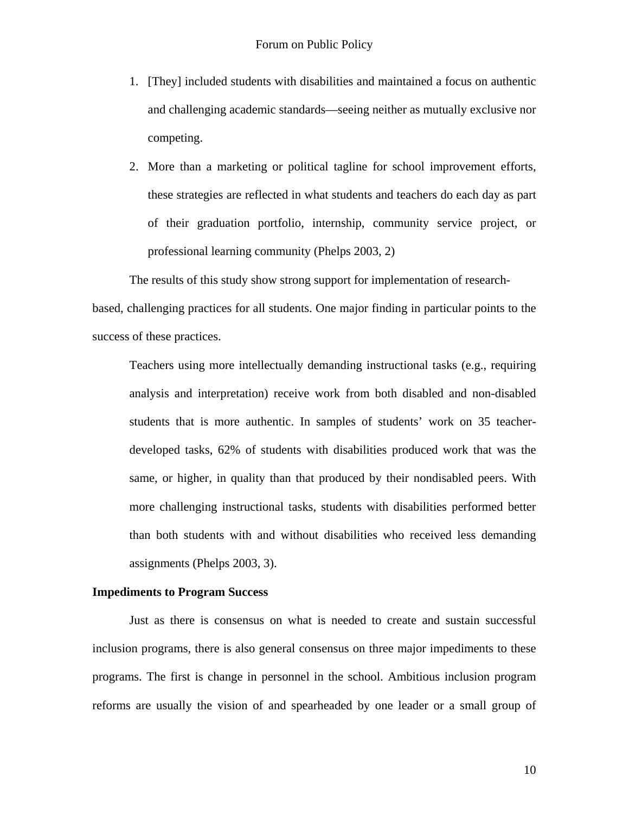- 1. [They] included students with disabilities and maintained a focus on authentic and challenging academic standards—seeing neither as mutually exclusive nor competing.
- 2. More than a marketing or political tagline for school improvement efforts, these strategies are reflected in what students and teachers do each day as part of their graduation portfolio, internship, community service project, or professional learning community (Phelps 2003, 2)

The results of this study show strong support for implementation of researchbased, challenging practices for all students. One major finding in particular points to the success of these practices.

Teachers using more intellectually demanding instructional tasks (e.g., requiring analysis and interpretation) receive work from both disabled and non-disabled students that is more authentic. In samples of students' work on 35 teacherdeveloped tasks, 62% of students with disabilities produced work that was the same, or higher, in quality than that produced by their nondisabled peers. With more challenging instructional tasks, students with disabilities performed better than both students with and without disabilities who received less demanding assignments (Phelps 2003, 3).

#### **Impediments to Program Success**

 Just as there is consensus on what is needed to create and sustain successful inclusion programs, there is also general consensus on three major impediments to these programs. The first is change in personnel in the school. Ambitious inclusion program reforms are usually the vision of and spearheaded by one leader or a small group of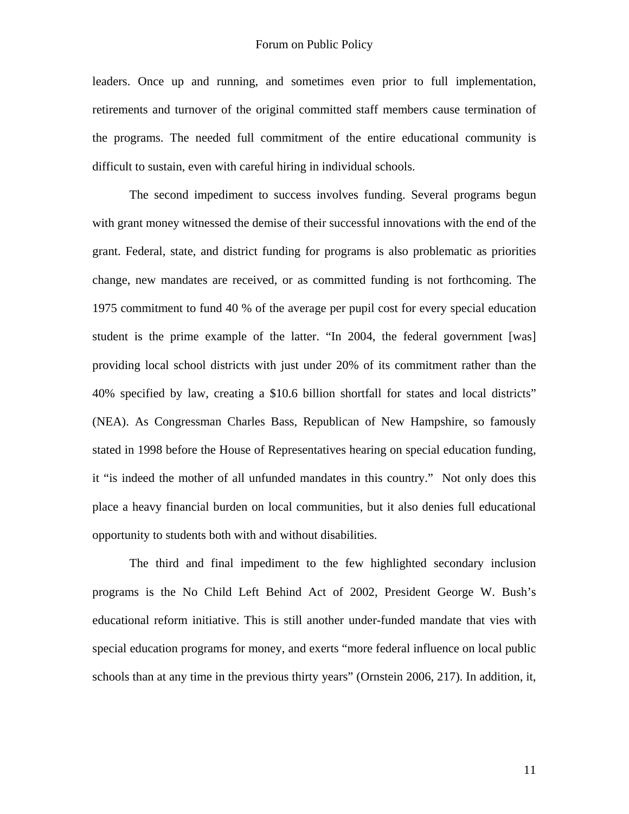leaders. Once up and running, and sometimes even prior to full implementation, retirements and turnover of the original committed staff members cause termination of the programs. The needed full commitment of the entire educational community is difficult to sustain, even with careful hiring in individual schools.

 The second impediment to success involves funding. Several programs begun with grant money witnessed the demise of their successful innovations with the end of the grant. Federal, state, and district funding for programs is also problematic as priorities change, new mandates are received, or as committed funding is not forthcoming. The 1975 commitment to fund 40 % of the average per pupil cost for every special education student is the prime example of the latter. "In 2004, the federal government [was] providing local school districts with just under 20% of its commitment rather than the 40% specified by law, creating a \$10.6 billion shortfall for states and local districts" (NEA). As Congressman Charles Bass, Republican of New Hampshire, so famously stated in 1998 before the House of Representatives hearing on special education funding, it "is indeed the mother of all unfunded mandates in this country." Not only does this place a heavy financial burden on local communities, but it also denies full educational opportunity to students both with and without disabilities.

 The third and final impediment to the few highlighted secondary inclusion programs is the No Child Left Behind Act of 2002, President George W. Bush's educational reform initiative. This is still another under-funded mandate that vies with special education programs for money, and exerts "more federal influence on local public schools than at any time in the previous thirty years" (Ornstein 2006, 217). In addition, it,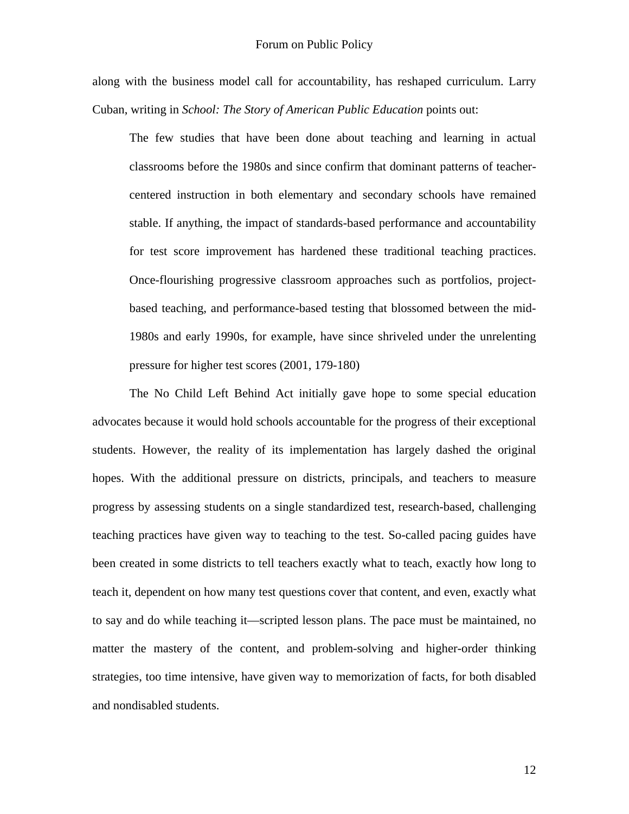along with the business model call for accountability, has reshaped curriculum. Larry Cuban, writing in *School: The Story of American Public Education* points out:

The few studies that have been done about teaching and learning in actual classrooms before the 1980s and since confirm that dominant patterns of teachercentered instruction in both elementary and secondary schools have remained stable. If anything, the impact of standards-based performance and accountability for test score improvement has hardened these traditional teaching practices. Once-flourishing progressive classroom approaches such as portfolios, projectbased teaching, and performance-based testing that blossomed between the mid-1980s and early 1990s, for example, have since shriveled under the unrelenting pressure for higher test scores (2001, 179-180)

 The No Child Left Behind Act initially gave hope to some special education advocates because it would hold schools accountable for the progress of their exceptional students. However, the reality of its implementation has largely dashed the original hopes. With the additional pressure on districts, principals, and teachers to measure progress by assessing students on a single standardized test, research-based, challenging teaching practices have given way to teaching to the test. So-called pacing guides have been created in some districts to tell teachers exactly what to teach, exactly how long to teach it, dependent on how many test questions cover that content, and even, exactly what to say and do while teaching it—scripted lesson plans. The pace must be maintained, no matter the mastery of the content, and problem-solving and higher-order thinking strategies, too time intensive, have given way to memorization of facts, for both disabled and nondisabled students.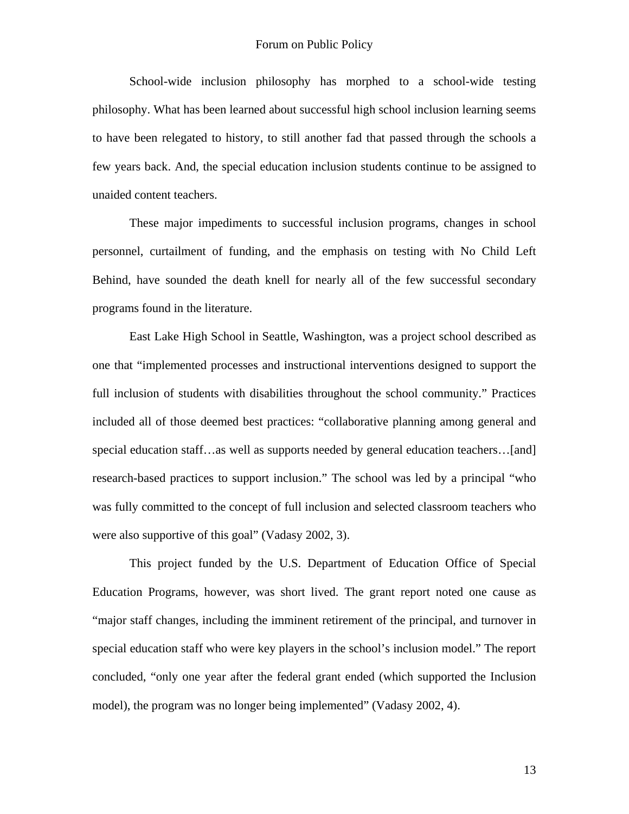School-wide inclusion philosophy has morphed to a school-wide testing philosophy. What has been learned about successful high school inclusion learning seems to have been relegated to history, to still another fad that passed through the schools a few years back. And, the special education inclusion students continue to be assigned to unaided content teachers.

 These major impediments to successful inclusion programs, changes in school personnel, curtailment of funding, and the emphasis on testing with No Child Left Behind, have sounded the death knell for nearly all of the few successful secondary programs found in the literature.

 East Lake High School in Seattle, Washington, was a project school described as one that "implemented processes and instructional interventions designed to support the full inclusion of students with disabilities throughout the school community." Practices included all of those deemed best practices: "collaborative planning among general and special education staff…as well as supports needed by general education teachers…[and] research-based practices to support inclusion." The school was led by a principal "who was fully committed to the concept of full inclusion and selected classroom teachers who were also supportive of this goal" (Vadasy 2002, 3).

 This project funded by the U.S. Department of Education Office of Special Education Programs, however, was short lived. The grant report noted one cause as "major staff changes, including the imminent retirement of the principal, and turnover in special education staff who were key players in the school's inclusion model." The report concluded, "only one year after the federal grant ended (which supported the Inclusion model), the program was no longer being implemented" (Vadasy 2002, 4).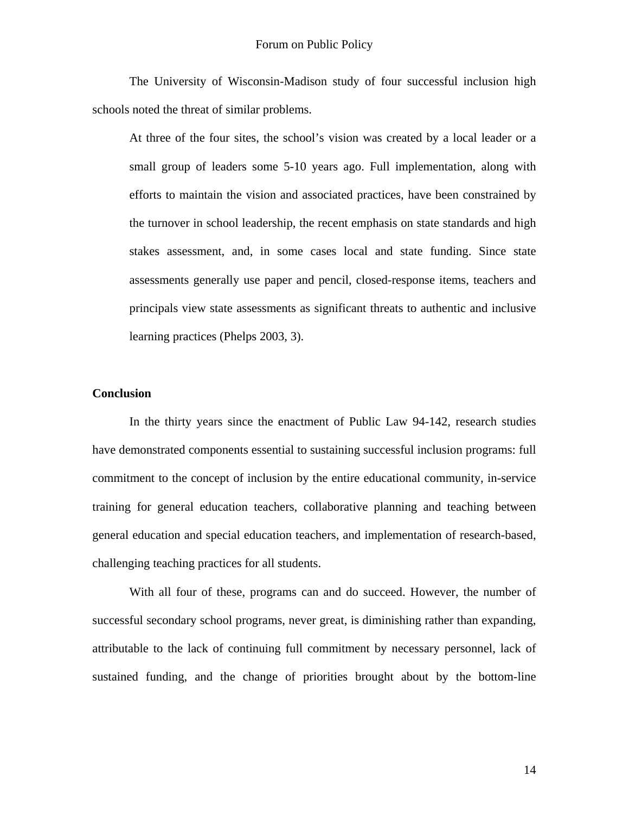The University of Wisconsin-Madison study of four successful inclusion high schools noted the threat of similar problems.

At three of the four sites, the school's vision was created by a local leader or a small group of leaders some 5-10 years ago. Full implementation, along with efforts to maintain the vision and associated practices, have been constrained by the turnover in school leadership, the recent emphasis on state standards and high stakes assessment, and, in some cases local and state funding. Since state assessments generally use paper and pencil, closed-response items, teachers and principals view state assessments as significant threats to authentic and inclusive learning practices (Phelps 2003, 3).

## **Conclusion**

 In the thirty years since the enactment of Public Law 94-142, research studies have demonstrated components essential to sustaining successful inclusion programs: full commitment to the concept of inclusion by the entire educational community, in-service training for general education teachers, collaborative planning and teaching between general education and special education teachers, and implementation of research-based, challenging teaching practices for all students.

 With all four of these, programs can and do succeed. However, the number of successful secondary school programs, never great, is diminishing rather than expanding, attributable to the lack of continuing full commitment by necessary personnel, lack of sustained funding, and the change of priorities brought about by the bottom-line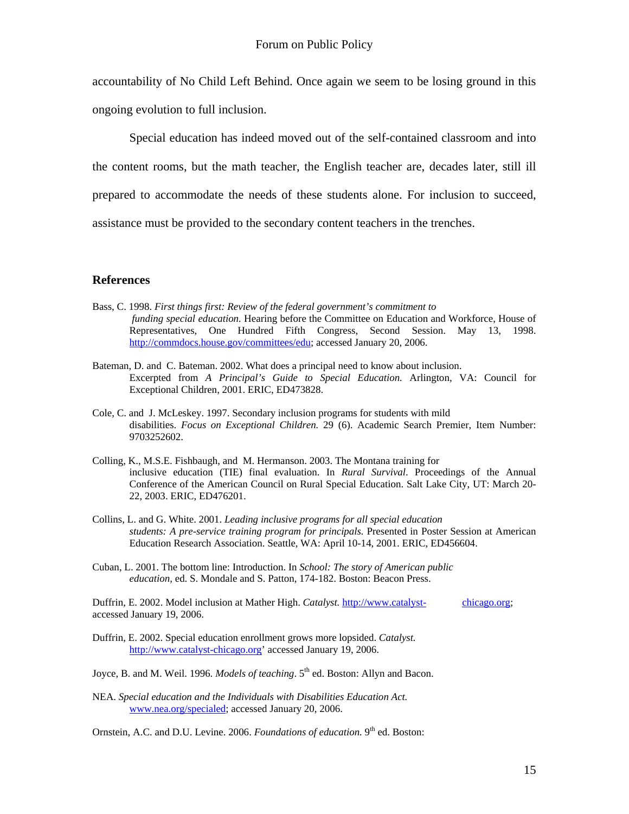accountability of No Child Left Behind. Once again we seem to be losing ground in this

ongoing evolution to full inclusion.

 Special education has indeed moved out of the self-contained classroom and into the content rooms, but the math teacher, the English teacher are, decades later, still ill prepared to accommodate the needs of these students alone. For inclusion to succeed, assistance must be provided to the secondary content teachers in the trenches.

# **References**

- Bass, C. 1998. *First things first: Review of the federal government's commitment to funding special education.* Hearing before the Committee on Education and Workforce, House of Representatives, One Hundred Fifth Congress, Second Session. May 13, 1998. [http://commdocs.house.gov/committees/edu;](http://commdocs.house.gov/committees/edu) accessed January 20, 2006.
- Bateman, D. and C. Bateman. 2002. What does a principal need to know about inclusion. Excerpted from *A Principal's Guide to Special Education.* Arlington, VA: Council for Exceptional Children, 2001. ERIC, ED473828.
- Cole, C. and J. McLeskey. 1997. Secondary inclusion programs for students with mild disabilities. *Focus on Exceptional Children.* 29 (6). Academic Search Premier, Item Number: 9703252602.
- Colling, K., M.S.E. Fishbaugh, and M. Hermanson. 2003. The Montana training for inclusive education (TIE) final evaluation. In *Rural Survival*. Proceedings of the Annual Conference of the American Council on Rural Special Education. Salt Lake City, UT: March 20- 22, 2003. ERIC, ED476201.
- Collins, L. and G. White. 2001. *Leading inclusive programs for all special education students: A pre-service training program for principals.* Presented in Poster Session at American Education Research Association. Seattle, WA: April 10-14, 2001. ERIC, ED456604.
- Cuban, L. 2001. The bottom line: Introduction. In *School: The story of American public education,* ed. S. Mondale and S. Patton, 174-182. Boston: Beacon Press.

Duffrin, E. 2002. Model inclusion at Mather High. *Catalyst.* [http://www.catalyst-](http://www.catalyst-chicago.org/) chicago.org; accessed January 19, 2006.

Duffrin, E. 2002. Special education enrollment grows more lopsided. *Catalyst.* [http://www.catalyst-chicago.org'](http://www.catalyst-chicago.org/) accessed January 19, 2006.

Joyce, B. and M. Weil. 1996. *Models of teaching*. 5<sup>th</sup> ed. Boston: Allyn and Bacon.

NEA. *Special education and the Individuals with Disabilities Education Act.* [www.nea.org/specialed;](http://www.nea.org/specialed) accessed January 20, 2006.

Ornstein, A.C. and D.U. Levine. 2006. *Foundations of education*. 9<sup>th</sup> ed. Boston: